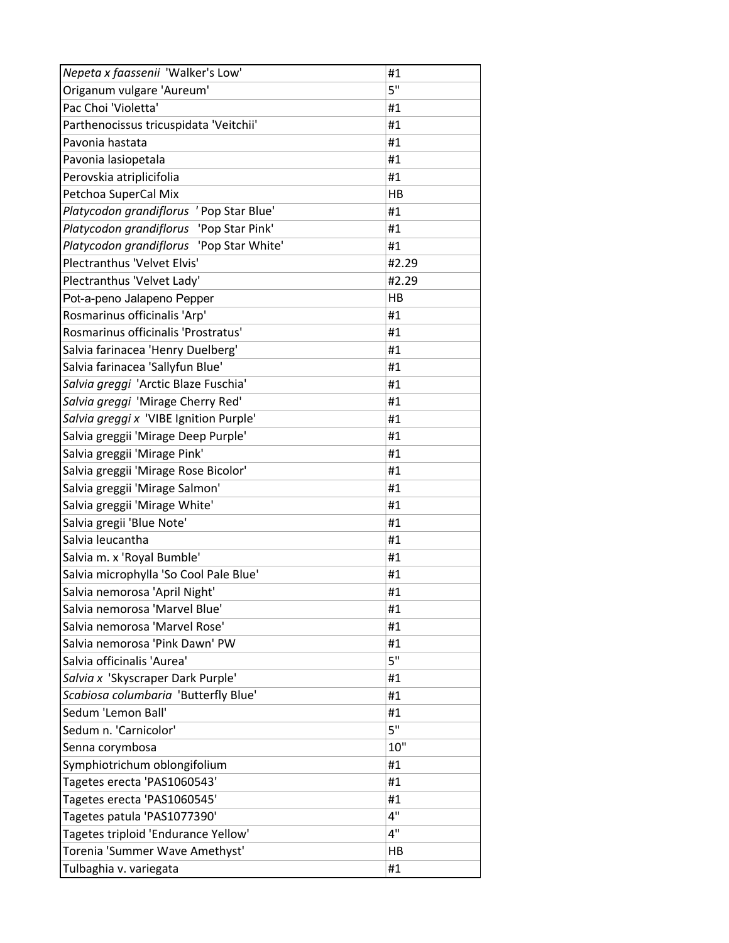| Nepeta x faassenii 'Walker's Low'        | #1    |
|------------------------------------------|-------|
| Origanum vulgare 'Aureum'                | 5"    |
| Pac Choi 'Violetta'                      | #1    |
| Parthenocissus tricuspidata 'Veitchii'   | #1    |
| Pavonia hastata                          | #1    |
| Pavonia lasiopetala                      | #1    |
| Perovskia atriplicifolia                 | #1    |
| Petchoa SuperCal Mix                     | HB    |
| Platycodon grandiflorus ' Pop Star Blue' | #1    |
| Platycodon grandiflorus 'Pop Star Pink'  | #1    |
| Platycodon grandiflorus 'Pop Star White' | #1    |
| Plectranthus 'Velvet Elvis'              | #2.29 |
| Plectranthus 'Velvet Lady'               | #2.29 |
| Pot-a-peno Jalapeno Pepper               | HB    |
| Rosmarinus officinalis 'Arp'             | #1    |
| Rosmarinus officinalis 'Prostratus'      | #1    |
| Salvia farinacea 'Henry Duelberg'        | #1    |
| Salvia farinacea 'Sallyfun Blue'         | #1    |
| Salvia greggi 'Arctic Blaze Fuschia'     | #1    |
| Salvia greggi 'Mirage Cherry Red'        | #1    |
| Salvia greggi x 'VIBE Ignition Purple'   | #1    |
| Salvia greggii 'Mirage Deep Purple'      | #1    |
| Salvia greggii 'Mirage Pink'             | #1    |
| Salvia greggii 'Mirage Rose Bicolor'     | #1    |
| Salvia greggii 'Mirage Salmon'           | #1    |
| Salvia greggii 'Mirage White'            | #1    |
| Salvia gregii 'Blue Note'                | #1    |
| Salvia leucantha                         | #1    |
| Salvia m. x 'Royal Bumble'               | #1    |
| Salvia microphylla 'So Cool Pale Blue'   | #1    |
| Salvia nemorosa 'April Night'            | #1    |
| Salvia nemorosa 'Marvel Blue'            | #1    |
| Salvia nemorosa 'Marvel Rose'            | #1    |
| Salvia nemorosa 'Pink Dawn' PW           | #1    |
| Salvia officinalis 'Aurea'               | 5"    |
| Salvia x 'Skyscraper Dark Purple'        | #1    |
| Scabiosa columbaria 'Butterfly Blue'     | #1    |
| Sedum 'Lemon Ball'                       | #1    |
| Sedum n. 'Carnicolor'                    | 5"    |
| Senna corymbosa                          | 10"   |
| Symphiotrichum oblongifolium             | #1    |
| Tagetes erecta 'PAS1060543'              | #1    |
| Tagetes erecta 'PAS1060545'              | #1    |
| Tagetes patula 'PAS1077390'              | 4"    |
| Tagetes triploid 'Endurance Yellow'      | 4"    |
| Torenia 'Summer Wave Amethyst'           | HB    |
| Tulbaghia v. variegata                   | #1    |